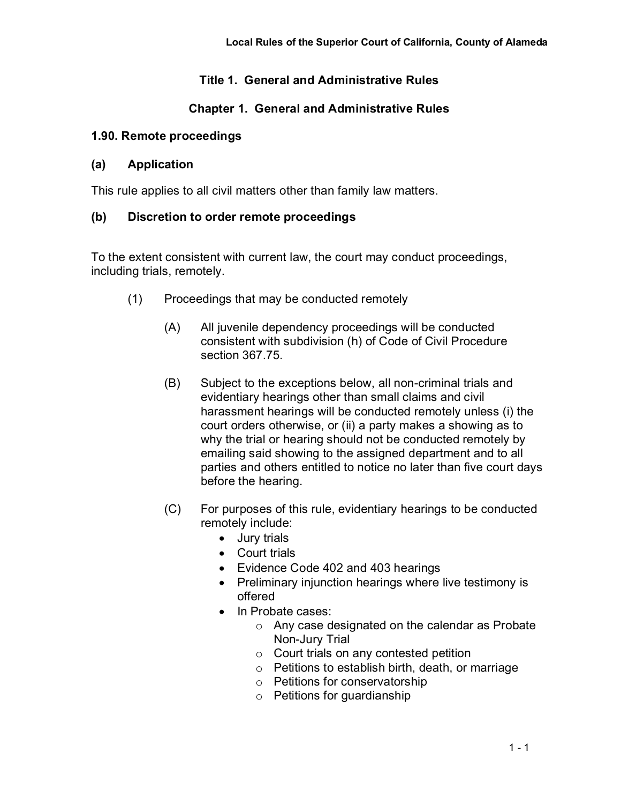## **Title 1. General and Administrative Rules**

## **Chapter 1. General and Administrative Rules**

#### **1.90. Remote proceedings**

#### **(a) Application**

This rule applies to all civil matters other than family law matters.

### **(b) Discretion to order remote proceedings**

To the extent consistent with current law, the court may conduct proceedings, including trials, remotely.

- (1) Proceedings that may be conducted remotely
	- (A) All juvenile dependency proceedings will be conducted consistent with subdivision (h) of Code of Civil Procedure section 367.75.
	- (B) Subject to the exceptions below, all non-criminal trials and evidentiary hearings other than small claims and civil harassment hearings will be conducted remotely unless (i) the court orders otherwise, or (ii) a party makes a showing as to why the trial or hearing should not be conducted remotely by emailing said showing to the assigned department and to all parties and others entitled to notice no later than five court days before the hearing.
	- (C) For purposes of this rule, evidentiary hearings to be conducted remotely include:
		- Jury trials
		- Court trials
		- Evidence Code 402 and 403 hearings
		- Preliminary injunction hearings where live testimony is offered
		- In Probate cases:
			- o Any case designated on the calendar as Probate Non-Jury Trial
			- o Court trials on any contested petition
			- o Petitions to establish birth, death, or marriage
			- o Petitions for conservatorship
			- o Petitions for guardianship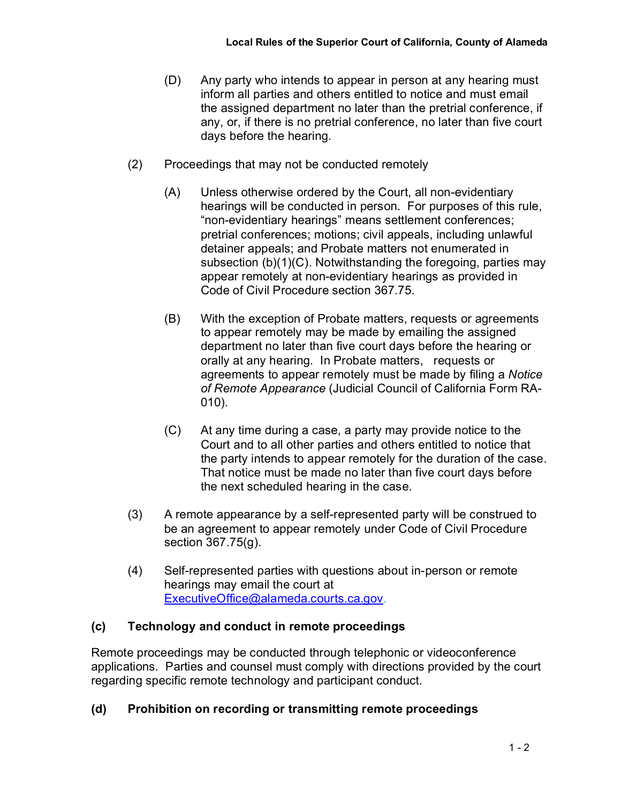- (D) Any party who intends to appear in person at any hearing must inform all parties and others entitled to notice and must email the assigned department no later than the pretrial conference, if any, or, if there is no pretrial conference, no later than five court days before the hearing.
- (2) Proceedings that may not be conducted remotely
	- (A) Unless otherwise ordered by the Court, all non-evidentiary hearings will be conducted in person. For purposes of this rule, "non-evidentiary hearings" means settlement conferences; pretrial conferences; motions; civil appeals, including unlawful detainer appeals; and Probate matters not enumerated in subsection (b)(1)(C). Notwithstanding the foregoing, parties may appear remotely at non-evidentiary hearings as provided in Code of Civil Procedure section 367.75.
	- (B) With the exception of Probate matters, requests or agreements to appear remotely may be made by emailing the assigned department no later than five court days before the hearing or orally at any hearing. In Probate matters, requests or agreements to appear remotely must be made by filing a *Notice of Remote Appearance* (Judicial Council of California Form RA-010).
	- (C) At any time during a case, a party may provide notice to the Court and to all other parties and others entitled to notice that the party intends to appear remotely for the duration of the case. That notice must be made no later than five court days before the next scheduled hearing in the case.
- (3) A remote appearance by a self-represented party will be construed to be an agreement to appear remotely under Code of Civil Procedure section 367.75(g).
- (4) Self-represented parties with questions about in-person or remote hearings may email the court at [ExecutiveOffice@alameda.courts.ca.gov.](mailto:ExecutiveOffice@alameda.courts.ca.gov)

# **(c) Technology and conduct in remote proceedings**

Remote proceedings may be conducted through telephonic or videoconference applications. Parties and counsel must comply with directions provided by the court regarding specific remote technology and participant conduct.

# **(d) Prohibition on recording or transmitting remote proceedings**